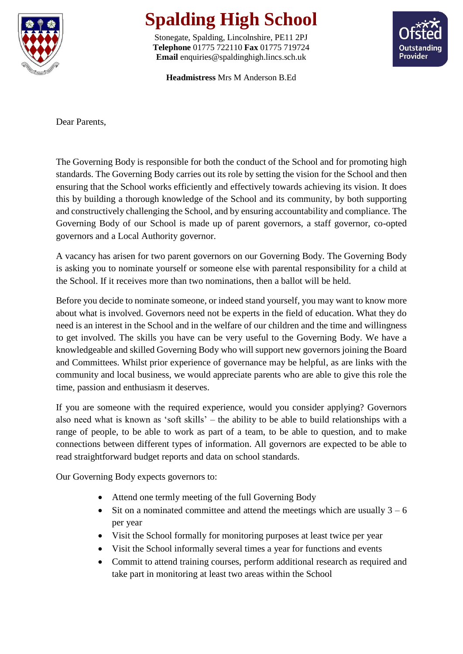

## **Spalding High School**

Stonegate, Spalding, Lincolnshire, PE11 2PJ **Telephone** 01775 722110 **Fax** 01775 719724 **Email** enquiries@spaldinghigh.lincs.sch.uk



**Headmistress** Mrs M Anderson B.Ed

Dear Parents,

The Governing Body is responsible for both the conduct of the School and for promoting high standards. The Governing Body carries out its role by setting the vision for the School and then ensuring that the School works efficiently and effectively towards achieving its vision. It does this by building a thorough knowledge of the School and its community, by both supporting and constructively challenging the School, and by ensuring accountability and compliance. The Governing Body of our School is made up of parent governors, a staff governor, co-opted governors and a Local Authority governor.

A vacancy has arisen for two parent governors on our Governing Body. The Governing Body is asking you to nominate yourself or someone else with parental responsibility for a child at the School. If it receives more than two nominations, then a ballot will be held.

Before you decide to nominate someone, or indeed stand yourself, you may want to know more about what is involved. Governors need not be experts in the field of education. What they do need is an interest in the School and in the welfare of our children and the time and willingness to get involved. The skills you have can be very useful to the Governing Body. We have a knowledgeable and skilled Governing Body who will support new governors joining the Board and Committees. Whilst prior experience of governance may be helpful, as are links with the community and local business, we would appreciate parents who are able to give this role the time, passion and enthusiasm it deserves.

If you are someone with the required experience, would you consider applying? Governors also need what is known as 'soft skills' – the ability to be able to build relationships with a range of people, to be able to work as part of a team, to be able to question, and to make connections between different types of information. All governors are expected to be able to read straightforward budget reports and data on school standards.

Our Governing Body expects governors to:

- Attend one termly meeting of the full Governing Body
- Sit on a nominated committee and attend the meetings which are usually  $3 6$ per year
- Visit the School formally for monitoring purposes at least twice per year
- Visit the School informally several times a year for functions and events
- Commit to attend training courses, perform additional research as required and take part in monitoring at least two areas within the School